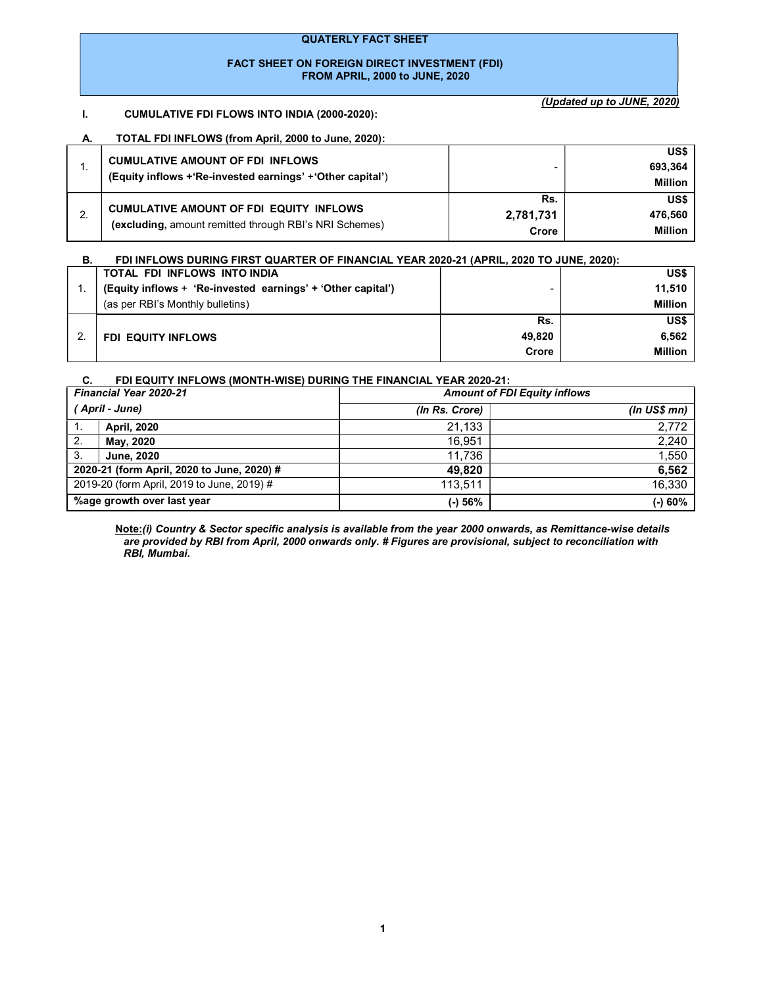#### QUATERLY FACT SHEET

#### FACT SHEET ON FOREIGN DIRECT INVESTMENT (FDI) FROM APRIL, 2000 to JUNE, 2020

## I. CUMULATIVE FDI FLOWS INTO INDIA (2000-2020):

(Updated up to JUNE, 2020)

#### A. TOTAL FDI INFLOWS (from April, 2000 to June, 2020):

| <b>CUMULATIVE AMOUNT OF FDI INFLOWS</b><br>(Equity inflows +'Re-invested earnings' +'Other capital')     |                           | US\$<br>693,364<br><b>Million</b> |
|----------------------------------------------------------------------------------------------------------|---------------------------|-----------------------------------|
| <b>CUMULATIVE AMOUNT OF FDI EQUITY INFLOWS</b><br>(excluding, amount remitted through RBI's NRI Schemes) | Rs.<br>2,781,731<br>Crore | US\$<br>476.560<br><b>Million</b> |

| FDI INFLOWS DURING FIRST QUARTER OF FINANCIAL YEAR 2020-21 (APRIL, 2020 TO JUNE, 2020): |
|-----------------------------------------------------------------------------------------|
| US\$                                                                                    |
| 11.510                                                                                  |
| <b>Million</b>                                                                          |
| US\$                                                                                    |
| 6.562                                                                                   |
| <b>Million</b>                                                                          |
|                                                                                         |

#### C. FDI EQUITY INFLOWS (MONTH-WISE) DURING THE FINANCIAL YEAR 2020-21:

| <b>Financial Year 2020-21</b>              |                                            | <b>Amount of FDI Equity inflows</b> |                     |  |  |
|--------------------------------------------|--------------------------------------------|-------------------------------------|---------------------|--|--|
| ' April - June)                            |                                            | (In Rs. Crore)                      | (In <b>US\$</b> mn) |  |  |
| 1.                                         | <b>April, 2020</b>                         | 21,133                              | 2,772               |  |  |
| 2.                                         | May, 2020                                  | 16.951                              | 2,240               |  |  |
| 3.                                         | <b>June, 2020</b>                          | 11.736                              | 1,550               |  |  |
|                                            | 2020-21 (form April, 2020 to June, 2020) # | 49.820                              | 6,562               |  |  |
| 2019-20 (form April, 2019 to June, 2019) # |                                            | 113.511                             | 16,330              |  |  |
| %age growth over last year                 |                                            | (-) 56%                             | $(-) 60%$           |  |  |

Note:(i) Country & Sector specific analysis is available from the year 2000 onwards, as Remittance-wise details are provided by RBI from April, 2000 onwards only. # Figures are provisional, subject to reconciliation with RBI, Mumbai.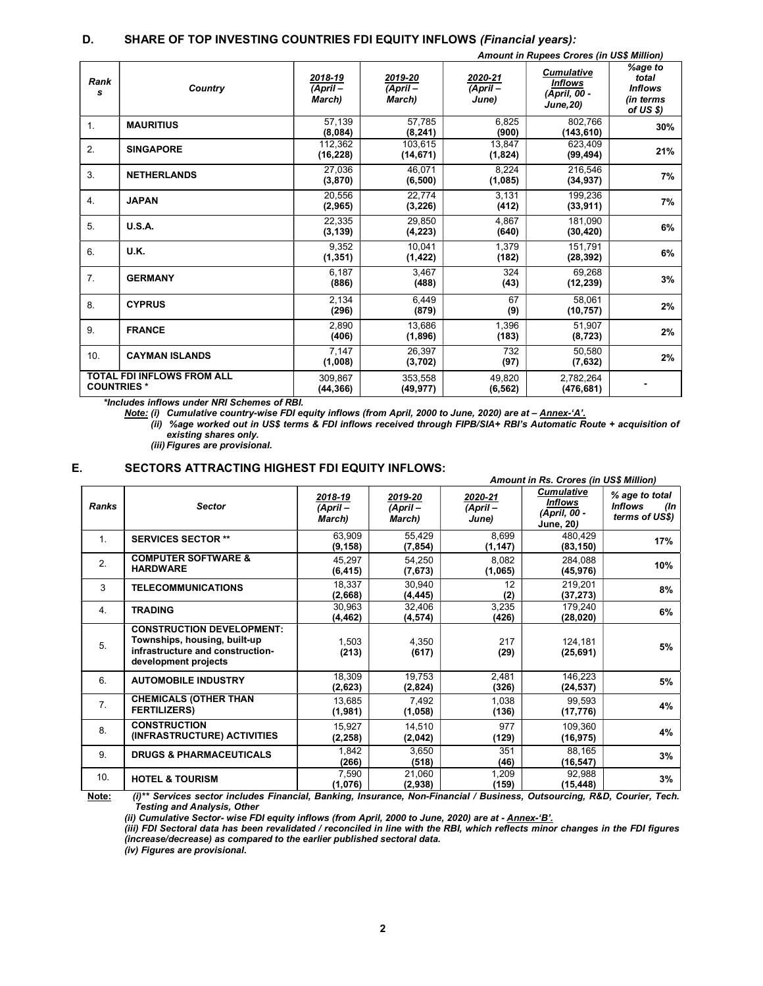#### D. SHARE OF TOP INVESTING COUNTRIES FDI EQUITY INFLOWS (Financial years):

|                   | <b>Amount in Rupees Crores (in US\$ Million)</b> |                                 |                                 |                             |                                                                         |                                                              |
|-------------------|--------------------------------------------------|---------------------------------|---------------------------------|-----------------------------|-------------------------------------------------------------------------|--------------------------------------------------------------|
| Rank<br>s         | Country                                          | 2018-19<br>$(ApriI -$<br>March) | 2019-20<br>$(ApriI -$<br>March) | 2020-21<br>(April-<br>June) | <b>Cumulative</b><br><b>Inflows</b><br>(April, 00 -<br><b>June, 20)</b> | %age to<br>total<br><b>Inflows</b><br>(in terms<br>of US \$) |
| 1.                | <b>MAURITIUS</b>                                 | 57.139<br>(8,084)               | 57.785<br>(8, 241)              | 6,825<br>(900)              | 802.766<br>(143, 610)                                                   | 30%                                                          |
| 2.                | <b>SINGAPORE</b>                                 | 112,362<br>(16, 228)            | 103,615<br>(14, 671)            | 13,847<br>(1,824)           | 623.409<br>(99, 494)                                                    | 21%                                                          |
| 3.                | <b>NETHERLANDS</b>                               | 27,036<br>(3, 870)              | 46.071<br>(6, 500)              | 8.224<br>(1,085)            | 216,546<br>(34, 937)                                                    | 7%                                                           |
| 4.                | <b>JAPAN</b>                                     | 20.556<br>(2,965)               | 22.774<br>(3, 226)              | 3,131<br>(412)              | 199,236<br>(33, 911)                                                    | 7%                                                           |
| 5.                | <b>U.S.A.</b>                                    | 22,335<br>(3, 139)              | 29.850<br>(4, 223)              | 4.867<br>(640)              | 181,090<br>(30, 420)                                                    | 6%                                                           |
| 6.                | U.K.                                             | 9.352<br>(1, 351)               | 10.041<br>(1, 422)              | 1.379<br>(182)              | 151.791<br>(28, 392)                                                    | 6%                                                           |
| 7.                | <b>GERMANY</b>                                   | 6.187<br>(886)                  | 3,467<br>(488)                  | 324<br>(43)                 | 69.268<br>(12, 239)                                                     | 3%                                                           |
| 8.                | <b>CYPRUS</b>                                    | 2.134<br>(296)                  | 6,449<br>(879)                  | 67<br>(9)                   | 58.061<br>(10, 757)                                                     | 2%                                                           |
| 9.                | <b>FRANCE</b>                                    | 2.890<br>(406)                  | 13,686<br>(1,896)               | 1,396<br>(183)              | 51.907<br>(8, 723)                                                      | 2%                                                           |
| 10.               | <b>CAYMAN ISLANDS</b>                            | 7.147<br>(1,008)                | 26.397<br>(3,702)               | 732<br>(97)                 | 50.580<br>(7,632)                                                       | 2%                                                           |
| <b>COUNTRIES*</b> | <b>TOTAL FDI INFLOWS FROM ALL</b>                | 309.867<br>(44, 366)            | 353.558<br>(49, 977)            | 49.820<br>(6, 562)          | 2,782,264<br>(476, 681)                                                 |                                                              |

\*Includes inflows under NRI Schemes of RBI.

Note: (i) Cumulative country-wise FDI equity inflows (from April, 2000 to June, 2020) are at - Annex-'A'.

(ii) %age worked out in US\$ terms & FDI inflows received through FIPB/SIA+ RBI's Automatic Route + acquisition of existing shares only.

(iii) Figures are provisional.

## E. SECTORS ATTRACTING HIGHEST FDI EQUITY INFLOWS:

|                  |                                                                                                                              | Amount in Rs. Crores (in US\$ Million) |                               |                              |                                                                  |                                                           |
|------------------|------------------------------------------------------------------------------------------------------------------------------|----------------------------------------|-------------------------------|------------------------------|------------------------------------------------------------------|-----------------------------------------------------------|
| <b>Ranks</b>     | <b>Sector</b>                                                                                                                | 2018-19<br>(April –<br>March)          | 2019-20<br>(April –<br>March) | 2020-21<br>(April –<br>June) | <b>Cumulative</b><br>Inflows<br>(April, 00 -<br><b>June, 20)</b> | % age to total<br><b>Inflows</b><br>(In<br>terms of US\$) |
| 1.               | <b>SERVICES SECTOR **</b>                                                                                                    | 63,909<br>(9, 158)                     | 55,429<br>(7, 854)            | 8,699<br>(1, 147)            | 480,429<br>(83, 150)                                             | 17%                                                       |
| 2.               | <b>COMPUTER SOFTWARE &amp;</b><br><b>HARDWARE</b>                                                                            | 45,297<br>(6, 415)                     | 54,250<br>(7,673)             | 8,082<br>(1,065)             | 284,088<br>(45, 976)                                             | 10%                                                       |
| 3                | <b>TELECOMMUNICATIONS</b>                                                                                                    | 18,337<br>(2,668)                      | 30.940<br>(4, 445)            | 12<br>(2)                    | 219,201<br>(37, 273)                                             | 8%                                                        |
| $\overline{4}$ . | <b>TRADING</b>                                                                                                               | 30,963<br>(4,462)                      | 32,406<br>(4, 574)            | 3,235<br>(426)               | 179,240<br>(28,020)                                              | 6%                                                        |
| 5.               | <b>CONSTRUCTION DEVELOPMENT:</b><br>Townships, housing, built-up<br>infrastructure and construction-<br>development projects | 1,503<br>(213)                         | 4,350<br>(617)                | 217<br>(29)                  | 124,181<br>(25, 691)                                             | 5%                                                        |
| 6.               | <b>AUTOMOBILE INDUSTRY</b>                                                                                                   | 18,309<br>(2,623)                      | 19,753<br>(2,824)             | 2,481<br>(326)               | 146,223<br>(24, 537)                                             | 5%                                                        |
| 7 <sub>1</sub>   | <b>CHEMICALS (OTHER THAN</b><br><b>FERTILIZERS)</b>                                                                          | 13,685<br>(1,981)                      | 7,492<br>(1,058)              | 1,038<br>(136)               | 99,593<br>(17, 776)                                              | 4%                                                        |
| 8.               | <b>CONSTRUCTION</b><br>(INFRASTRUCTURE) ACTIVITIES                                                                           | 15,927<br>(2, 258)                     | 14,510<br>(2,042)             | 977<br>(129)                 | 109,360<br>(16, 975)                                             | 4%                                                        |
| 9.               | <b>DRUGS &amp; PHARMACEUTICALS</b>                                                                                           | 1.842<br>(266)                         | 3,650<br>(518)                | 351<br>(46)                  | 88,165<br>(16, 547)                                              | 3%                                                        |
| 10.              | <b>HOTEL &amp; TOURISM</b>                                                                                                   | 7,590<br>(1,076)                       | 21,060<br>(2,938)             | 1,209<br>(159)               | 92,988<br>(15, 448)                                              | 3%                                                        |

<u>Note:</u> (i)\*\* Services sector includes Financial, Banking, Insurance, Non-Financial / Business, Outsourcing, R&D, Courier, Tech. Testing and Analysis, Other

(ii) Cumulative Sector- wise FDI equity inflows (from April, 2000 to June, 2020) are at - Annex-'B'.

(iii) FDI Sectoral data has been revalidated / reconciled in line with the RBI, which reflects minor changes in the FDI figures (increase/decrease) as compared to the earlier published sectoral data.

(iv) Figures are provisional.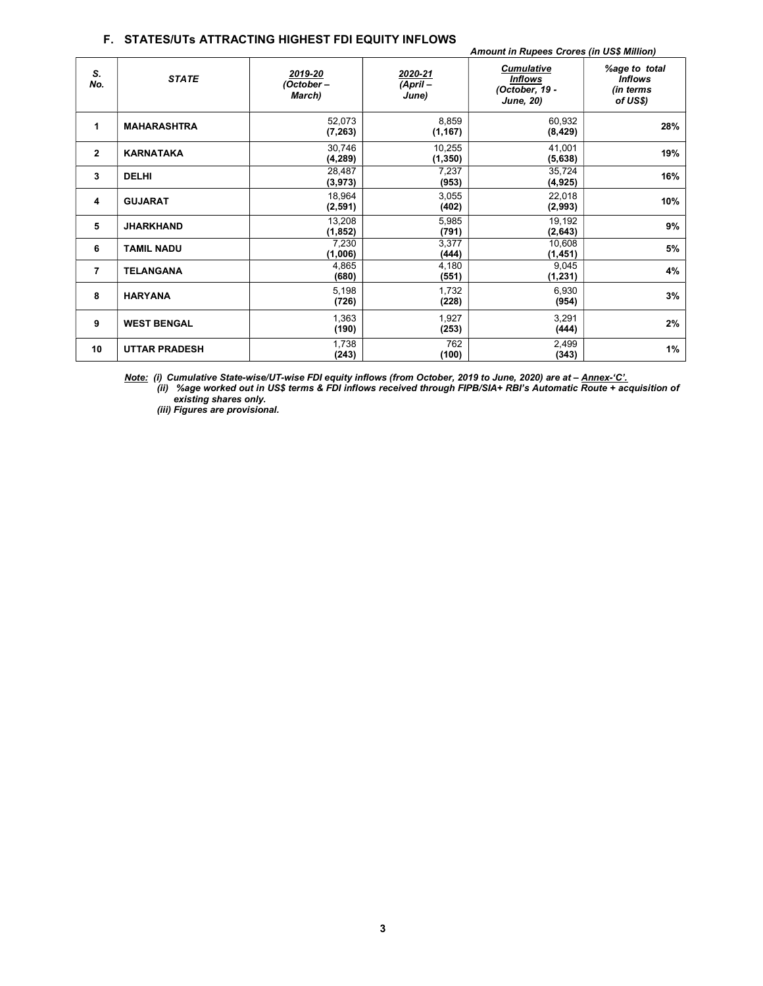### F. STATES/UTs ATTRACTING HIGHEST FDI EQUITY INFLOWS

|                |                      | <b>Amount in Rupees Crores (in US\$ Million)</b> |                             |                                                                           |                                                          |  |
|----------------|----------------------|--------------------------------------------------|-----------------------------|---------------------------------------------------------------------------|----------------------------------------------------------|--|
| S.<br>No.      | <b>STATE</b>         | 2019-20<br>(October –<br>March)                  | 2020-21<br>(April-<br>June) | <b>Cumulative</b><br><b>Inflows</b><br>(October, 19 -<br><b>June, 20)</b> | %age to total<br><b>Inflows</b><br>(in terms<br>of US\$) |  |
| 1              | <b>MAHARASHTRA</b>   | 52,073<br>(7, 263)                               | 8,859<br>(1, 167)           | 60,932<br>(8, 429)                                                        | 28%                                                      |  |
| $\mathbf{2}$   | <b>KARNATAKA</b>     | 30,746<br>(4,289)                                | 10,255<br>(1, 350)          | 41,001<br>(5,638)                                                         | 19%                                                      |  |
| 3              | <b>DELHI</b>         | 28,487<br>(3, 973)                               | 7,237<br>(953)              | 35,724<br>(4, 925)                                                        | 16%                                                      |  |
| 4              | <b>GUJARAT</b>       | 18,964<br>(2,591)                                | 3,055<br>(402)              | 22,018<br>(2,993)                                                         | 10%                                                      |  |
| 5              | <b>JHARKHAND</b>     | 13,208<br>(1, 852)                               | 5,985<br>(791)              | 19,192<br>(2,643)                                                         | 9%                                                       |  |
| 6              | <b>TAMIL NADU</b>    | 7,230<br>(1,006)                                 | 3,377<br>(444)              | 10,608<br>(1, 451)                                                        | 5%                                                       |  |
| $\overline{7}$ | <b>TELANGANA</b>     | 4,865<br>(680)                                   | 4,180<br>(551)              | 9,045<br>(1, 231)                                                         | 4%                                                       |  |
| 8              | <b>HARYANA</b>       | 5,198<br>(726)                                   | 1,732<br>(228)              | 6,930<br>(954)                                                            | 3%                                                       |  |
| 9              | <b>WEST BENGAL</b>   | 1,363<br>(190)                                   | 1,927<br>(253)              | 3,291<br>(444)                                                            | 2%                                                       |  |
| 10             | <b>UTTAR PRADESH</b> | 1,738<br>(243)                                   | 762<br>(100)                | 2,499<br>(343)                                                            | 1%                                                       |  |

Note: (i) Cumulative State-wise/UT-wise FDI equity inflows (from October, 2019 to June, 2020) are at – Annex-'C'.

(ii) %age worked out in US\$ terms & FDI inflows received through FIPB/SIA+ RBI's Automatic Route + acquisition of existing shares only.

(iii) Figures are provisional.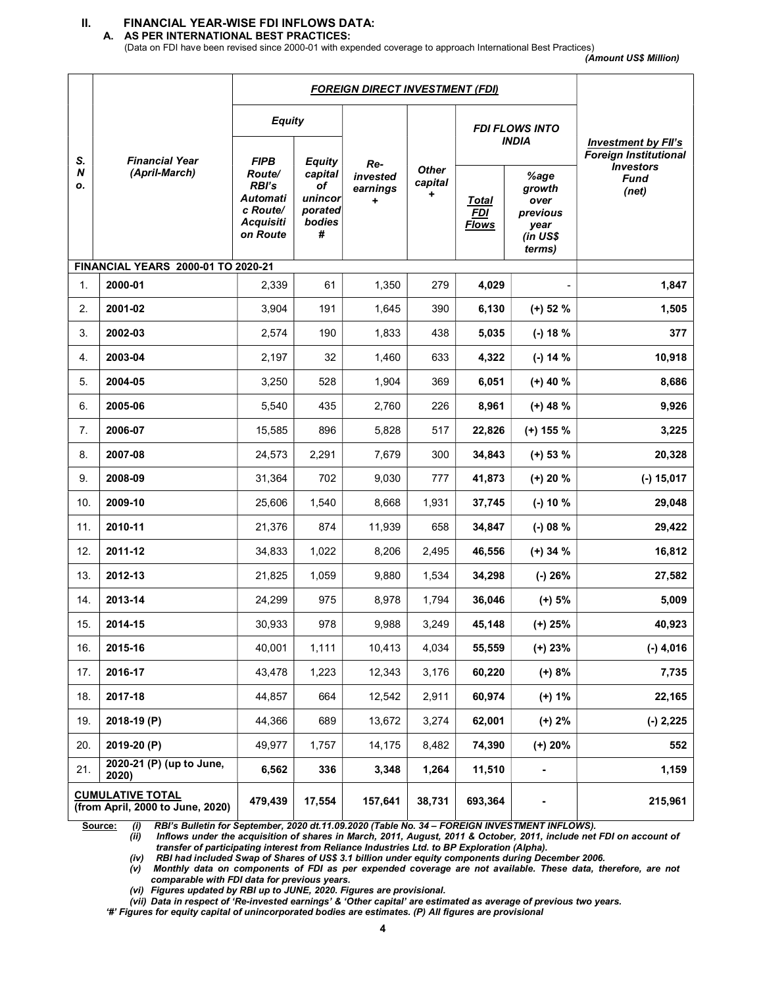## II. FINANCIAL YEAR-WISE FDI INFLOWS DATA:

A. AS PER INTERNATIONAL BEST PRACTICES:

(Data on FDI have been revised since 2000-01 with expended coverage to approach International Best Practices)

(Amount US\$ Million)

|               |                                                             | <b>FOREIGN DIRECT INVESTMENT (FDI)</b>                                                                      |                                                                     |                                                             |        |                                            |                                                                  |                                                                          |
|---------------|-------------------------------------------------------------|-------------------------------------------------------------------------------------------------------------|---------------------------------------------------------------------|-------------------------------------------------------------|--------|--------------------------------------------|------------------------------------------------------------------|--------------------------------------------------------------------------|
|               | <b>Financial Year</b><br>(April-March)                      | <b>Equity</b>                                                                                               |                                                                     |                                                             |        | <b>FDI FLOWS INTO</b><br><b>INDIA</b>      |                                                                  | <b>Investment by FII's</b>                                               |
| S.<br>N<br>ο. |                                                             | <b>FIPB</b><br><b>Route/</b><br><b>RBI's</b><br><b>Automati</b><br>c Route/<br><b>Acquisiti</b><br>on Route | <b>Equity</b><br>capital<br>of<br>unincor<br>porated<br>bodies<br># | Re-<br><b>Other</b><br>invested<br>capital<br>earnings<br>٠ |        | <u>Total</u><br><b>FDI</b><br><b>Flows</b> | %age<br>growth<br>over<br>previous<br>year<br>(in US\$<br>terms) | <b>Foreign Institutional</b><br><b>Investors</b><br><b>Fund</b><br>(net) |
| 1.            | FINANCIAL YEARS 2000-01 TO 2020-21<br>2000-01               | 2,339                                                                                                       | 61                                                                  | 1,350                                                       | 279    | 4,029                                      |                                                                  | 1,847                                                                    |
| 2.            | 2001-02                                                     | 3,904                                                                                                       | 191                                                                 | 1,645                                                       | 390    | 6,130                                      | $(+)$ 52 %                                                       | 1,505                                                                    |
| 3.            | 2002-03                                                     | 2,574                                                                                                       | 190                                                                 | 1,833                                                       | 438    | 5,035                                      | $(-) 18 %$                                                       | 377                                                                      |
| 4.            | 2003-04                                                     | 2,197                                                                                                       | 32                                                                  | 1,460                                                       | 633    | 4,322                                      | $(-) 14 %$                                                       | 10,918                                                                   |
| 5.            | 2004-05                                                     | 3,250                                                                                                       | 528                                                                 | 1,904                                                       | 369    | 6,051                                      | $(+)$ 40 %                                                       | 8,686                                                                    |
| 6.            | 2005-06                                                     | 5,540                                                                                                       | 435                                                                 | 2,760                                                       | 226    | 8,961                                      | $(+)$ 48 %                                                       | 9,926                                                                    |
| 7.            | 2006-07                                                     | 15,585                                                                                                      | 896                                                                 | 5,828                                                       | 517    | 22,826                                     | $(+)$ 155 %                                                      | 3,225                                                                    |
| 8.            | 2007-08                                                     | 24,573                                                                                                      | 2,291                                                               | 7,679                                                       | 300    | 34,843                                     | $(+)$ 53 %                                                       | 20,328                                                                   |
| 9.            | 2008-09                                                     | 31,364                                                                                                      | 702                                                                 | 9,030                                                       | 777    | 41,873                                     | $(+) 20 %$                                                       | $(-) 15,017$                                                             |
| 10.           | 2009-10                                                     | 25,606                                                                                                      | 1,540                                                               | 8,668                                                       | 1,931  | 37,745                                     | $(-) 10 %$                                                       | 29,048                                                                   |
| 11.           | 2010-11                                                     | 21,376                                                                                                      | 874                                                                 | 11,939                                                      | 658    | 34,847                                     | $(-)$ 08 %                                                       | 29,422                                                                   |
| 12.           | 2011-12                                                     | 34,833                                                                                                      | 1,022                                                               | 8,206                                                       | 2,495  | 46,556                                     | $(+)$ 34 %                                                       | 16,812                                                                   |
| 13.           | 2012-13                                                     | 21,825                                                                                                      | 1,059                                                               | 9,880                                                       | 1,534  | 34,298                                     | $(-) 26%$                                                        | 27,582                                                                   |
| 14.           | 2013-14                                                     | 24,299                                                                                                      | 975                                                                 | 8,978                                                       | 1,794  | 36,046                                     | $(+) 5%$                                                         | 5,009                                                                    |
| 15.           | 2014-15                                                     | 30,933                                                                                                      | 978                                                                 | 9,988                                                       | 3,249  | 45,148                                     | $(+)$ 25%                                                        | 40,923                                                                   |
| 16.           | 2015-16                                                     | 40,001                                                                                                      | 1,111                                                               | 10,413                                                      | 4,034  | 55,559                                     | $(+)$ 23%                                                        | $(-)$ 4,016                                                              |
| 17.           | 2016-17                                                     | 43,478                                                                                                      | 1,223                                                               | 12,343                                                      | 3,176  | 60,220                                     | $(+) 8%$                                                         | 7,735                                                                    |
| 18.           | 2017-18                                                     | 44,857                                                                                                      | 664                                                                 | 12,542                                                      | 2,911  | 60,974                                     | $(+) 1%$                                                         | 22,165                                                                   |
| 19.           | 2018-19 (P)                                                 | 44,366                                                                                                      | 689                                                                 | 13,672                                                      | 3,274  | 62,001                                     | $(+) 2%$                                                         | $(-) 2,225$                                                              |
| 20.           | 2019-20 (P)                                                 | 49,977                                                                                                      | 1,757                                                               | 14,175                                                      | 8,482  | 74,390                                     | $(+)$ 20%                                                        | 552                                                                      |
| 21.           | 2020-21 (P) (up to June,<br>2020)                           | 6,562                                                                                                       | 336                                                                 | 3,348                                                       | 1,264  | 11,510                                     | $\blacksquare$                                                   | 1,159                                                                    |
|               | <b>CUMULATIVE TOTAL</b><br>(from April, 2000 to June, 2020) | 479,439                                                                                                     | 17,554                                                              | 157,641                                                     | 38,731 | 693,364                                    |                                                                  | 215,961                                                                  |

Source: (i) RBI's Bulletin for September, 2020 dt.11.09.2020 (Table No. 34 - FOREIGN INVESTMENT INFLOWS).

(ii) Inflows under the acquisition of shares in March, 2011, August, 2011 & October, 2011, include net FDI on account of transfer of participating interest from Reliance Industries Ltd. to BP Exploration (Alpha).

(iv) RBI had included Swap of Shares of US\$ 3.1 billion under equity components during December 2006.

(v) Monthly data on components of FDI as per expended coverage are not available. These data, therefore, are not comparable with FDI data for previous years.

(vi) Figures updated by RBI up to JUNE, 2020. Figures are provisional.

(vii) Data in respect of 'Re-invested earnings' & 'Other capital' are estimated as average of previous two years.

'#' Figures for equity capital of unincorporated bodies are estimates. (P) All figures are provisional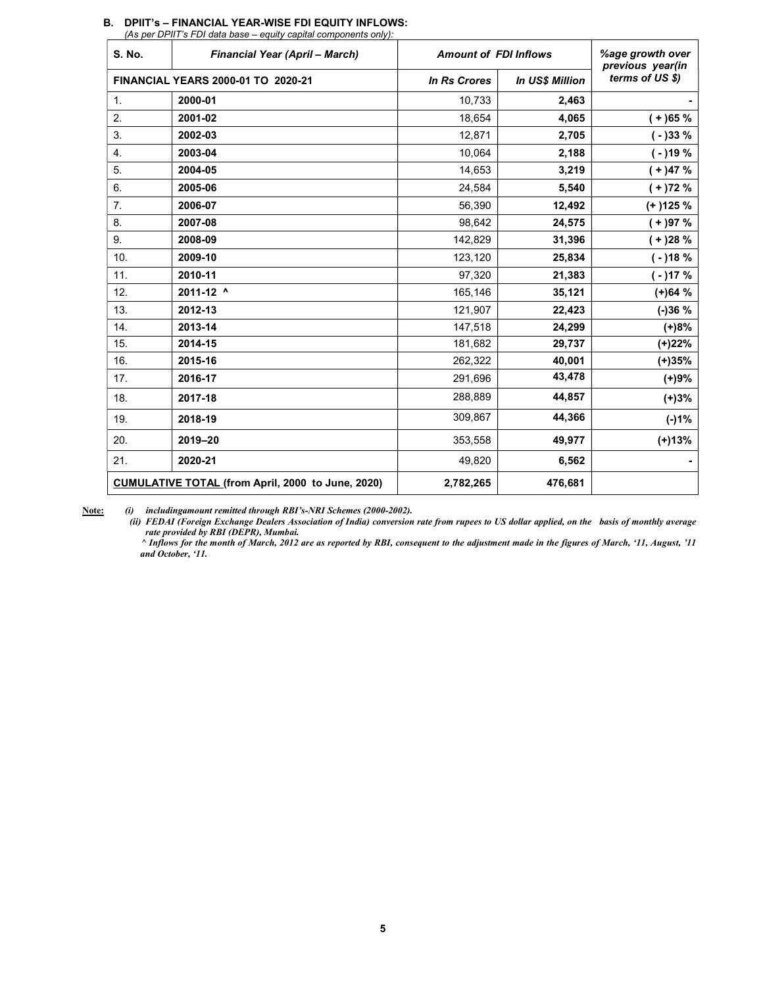| <b>S. No.</b>    | <b>Financial Year (April - March)</b>                    | <b>Amount of FDI Inflows</b> |                        | %age growth over<br>previous year(in |  |
|------------------|----------------------------------------------------------|------------------------------|------------------------|--------------------------------------|--|
|                  | FINANCIAL YEARS 2000-01 TO 2020-21                       | <b>In Rs Crores</b>          | <b>In US\$ Million</b> | terms of US \$)                      |  |
| $\mathbf{1}$ .   | 2000-01                                                  | 10,733                       | 2,463                  |                                      |  |
| 2.               | 2001-02                                                  | 18,654                       | 4,065                  | $(+)65%$                             |  |
| 3.               | 2002-03                                                  | 12,871                       | 2,705                  | $(-)33%$                             |  |
| $\overline{4}$ . | 2003-04                                                  | 10.064                       | 2,188                  | $(-)19%$                             |  |
| 5.               | 2004-05                                                  | 14,653                       | 3,219                  | $(+)47%$                             |  |
| 6.               | 2005-06                                                  | 24,584                       | 5,540                  | $(+)72%$                             |  |
| 7.               | 2006-07                                                  | 56,390                       | 12,492                 | $(+)125%$                            |  |
| 8.               | 2007-08                                                  | 98,642                       | 24,575                 | $(+)97%$                             |  |
| 9.               | 2008-09                                                  | 142,829                      | 31,396                 | $(+)28%$                             |  |
| 10.              | 2009-10                                                  | 123,120                      | 25,834                 | $(-)18%$                             |  |
| 11.              | 2010-11                                                  | 97,320                       | 21,383                 | $(-)17%$                             |  |
| 12.              | 2011-12 ^                                                | 165,146                      | 35,121                 | $(+)64%$                             |  |
| 13.              | 2012-13                                                  | 121,907                      | 22,423                 | $(-)36%$                             |  |
| 14.              | 2013-14                                                  | 147,518                      | 24,299                 | $(+)8%$                              |  |
| 15.              | 2014-15                                                  | 181,682                      | 29,737                 | (+)22%                               |  |
| 16.              | 2015-16                                                  | 262,322                      | 40,001                 | $(+)35%$                             |  |
| 17.              | 2016-17                                                  | 291,696                      | 43,478                 | $(+)9%$                              |  |
| 18.              | 2017-18                                                  | 288,889                      | 44,857                 | $(+)3%$                              |  |
| 19.              | 2018-19                                                  | 309,867                      | 44,366                 | $(-)1%$                              |  |
| 20.              | 2019-20                                                  | 353,558                      | 49,977                 | $(+)13%$                             |  |
| 21.              | 2020-21                                                  | 49,820                       | 6,562                  |                                      |  |
|                  | <b>CUMULATIVE TOTAL (from April, 2000 to June, 2020)</b> |                              | 476,681                |                                      |  |

#### B. DPIIT's – FINANCIAL YEAR-WISE FDI EQUITY INFLOWS:

(As per DPIIT's FDI data base – equity capital components only):

Note: (i) includingamount remitted through RBI's-NRI Schemes (2000-2002).

(ii) FEDAI (Foreign Exchange Dealers Association of India) conversion rate from rupees to US dollar applied, on the basis of monthly average rate provided by RBI (DEPR), Mumbai.

 ^ Inflows for the month of March, 2012 are as reported by RBI, consequent to the adjustment made in the figures of March, '11, August, '11 and October, '11.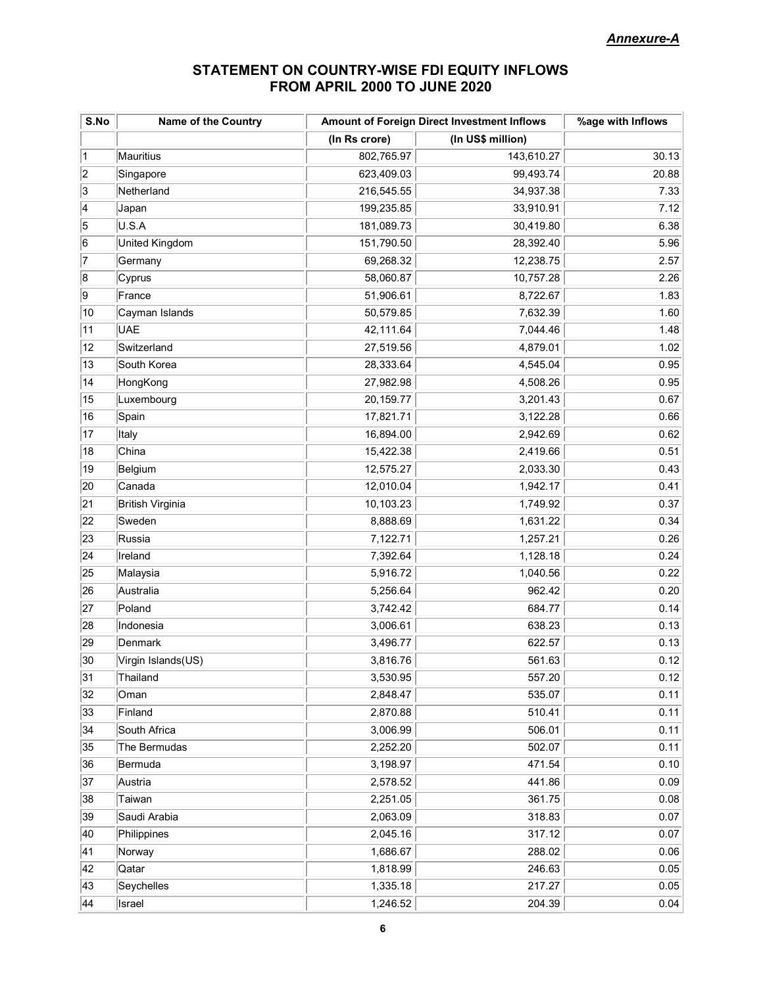## STATEMENT ON COUNTRY-WISE FDI EQUITY INFLOWS FROM APRIL 2000 TO JUNE 2020

| S.No           | <b>Name of the Country</b> | Amount of Foreign Direct Investment Inflows | %age with Inflows |       |
|----------------|----------------------------|---------------------------------------------|-------------------|-------|
|                |                            | (In Rs crore)                               | (In US\$ million) |       |
| $\vert$ 1      | Mauritius                  | 802,765.97                                  | 143,610.27        | 30.13 |
| $\overline{2}$ | Singapore                  | 623,409.03                                  | 99,493.74         | 20.88 |
| 3              | Netherland                 | 216,545.55                                  | 34,937.38         | 7.33  |
| $\overline{4}$ | Japan                      | 199,235.85                                  | 33,910.91         | 7.12  |
| 5              | U.S.A                      | 181,089.73                                  | 30,419.80         | 6.38  |
| 6              | United Kingdom             | 151,790.50                                  | 28,392.40         | 5.96  |
| 17             | Germany                    | 69,268.32                                   | 12,238.75         | 2.57  |
| 8              | Cyprus                     | 58,060.87                                   | 10,757.28         | 2.26  |
| 9              | France                     | 51,906.61                                   | 8,722.67          | 1.83  |
| 10             | Cayman Islands             | 50,579.85                                   | 7,632.39          | 1.60  |
| 11             | <b>UAE</b>                 | 42,111.64                                   | 7,044.46          | 1.48  |
| 12             | Switzerland                | 27,519.56                                   | 4,879.01          | 1.02  |
| 13             | South Korea                | 28,333.64                                   | 4,545.04          | 0.95  |
| 14             | HongKong                   | 27,982.98                                   | 4,508.26          | 0.95  |
| 15             | Luxembourg                 | 20, 159.77                                  | 3,201.43          | 0.67  |
| 16             | Spain                      | 17,821.71                                   | 3,122.28          | 0.66  |
| 17             | Italy                      | 16,894.00                                   | 2,942.69          | 0.62  |
| 18             | China                      | 15,422.38                                   | 2,419.66          | 0.51  |
| 19             | Belgium                    | 12,575.27                                   | 2,033.30          | 0.43  |
| 20             | Canada                     | 12,010.04                                   | 1,942.17          | 0.41  |
| 21             | <b>British Virginia</b>    | 10,103.23                                   | 1,749.92          | 0.37  |
| 22             | Sweden                     | 8,888.69                                    | 1,631.22          | 0.34  |
| 23             | Russia                     | 7,122.71                                    | 1,257.21          | 0.26  |
| 24             | Ireland                    | 7,392.64                                    | 1,128.18          | 0.24  |
| 25             | Malaysia                   | 5,916.72                                    | 1,040.56          | 0.22  |
| 26             | Australia                  | 5,256.64                                    | 962.42            | 0.20  |
| 27             | Poland                     | 3,742.42                                    | 684.77            | 0.14  |
| 28             | Indonesia                  | 3,006.61                                    | 638.23            | 0.13  |
| 29             | Denmark                    | 3,496.77                                    | 622.57            | 0.13  |
| 30             | Virgin Islands(US)         | 3,816.76                                    | 561.63            | 0.12  |
| 31             | Thailand                   | 3,530.95                                    | 557.20            | 0.12  |
| 32             | Oman                       | 2,848.47                                    | 535.07            | 0.11  |
| 33             | Finland                    | 2,870.88                                    | 510.41            | 0.11  |
| 34             | South Africa               | 3,006.99                                    | 506.01            | 0.11  |
| 35             | The Bermudas               | 2,252.20                                    | 502.07            | 0.11  |
| 36             | Bermuda                    | 3,198.97                                    | 471.54            | 0.10  |
| 37             | Austria                    | 2,578.52                                    | 441.86            | 0.09  |
| 38             | Taiwan                     | 2,251.05                                    | 361.75            | 0.08  |
| 39             | Saudi Arabia               | 2,063.09                                    | 318.83            | 0.07  |
| 40             | Philippines                | 2,045.16                                    | 317.12            | 0.07  |
| 41             | Norway                     | 1,686.67                                    | 288.02            | 0.06  |
| 42             | Qatar                      | 1,818.99                                    | 246.63            | 0.05  |
| 43             | Seychelles                 | 1,335.18                                    | 217.27            | 0.05  |
| 44             | Israel                     | 1,246.52                                    | 204.39            | 0.04  |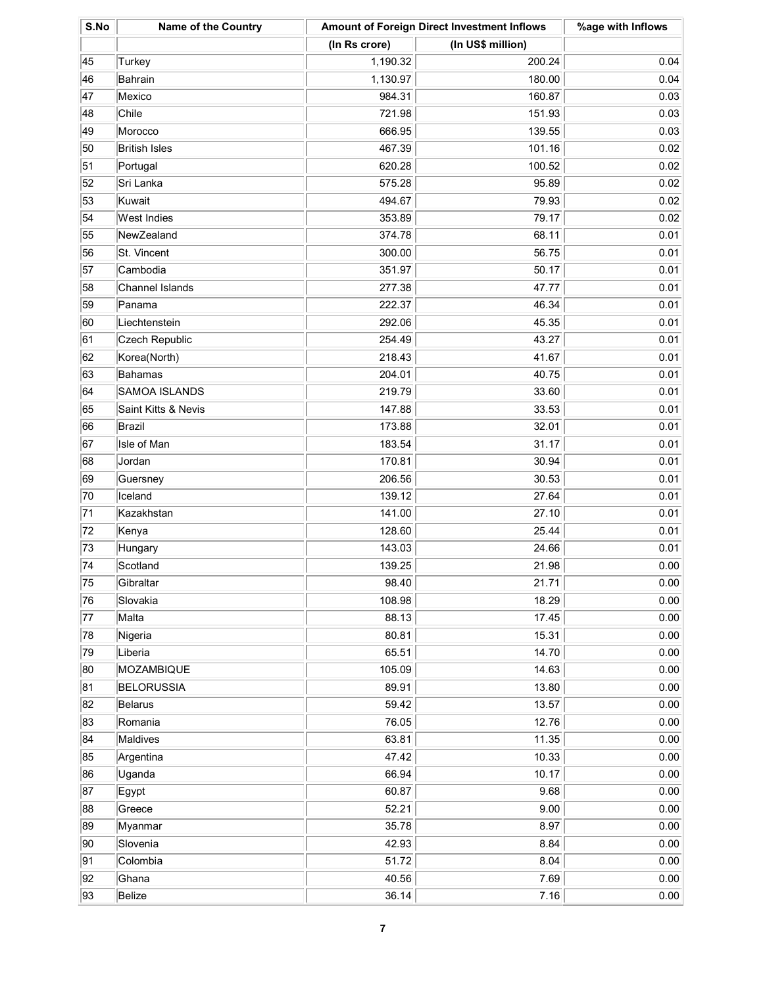| S.No | <b>Name of the Country</b> | Amount of Foreign Direct Investment Inflows |                   | %age with Inflows |
|------|----------------------------|---------------------------------------------|-------------------|-------------------|
|      |                            | (In Rs crore)                               | (In US\$ million) |                   |
| 45   | Turkey                     | 1,190.32                                    | 200.24            | 0.04              |
| 46   | Bahrain                    | 1,130.97                                    | 180.00            | 0.04              |
| 47   | Mexico                     | 984.31                                      | 160.87            | 0.03              |
| 48   | Chile                      | 721.98                                      | 151.93            | 0.03              |
| 49   | Morocco                    | 666.95                                      | 139.55            | 0.03              |
| 50   | <b>British Isles</b>       | 467.39                                      | 101.16            | 0.02              |
| 51   | Portugal                   | 620.28                                      | 100.52            | 0.02              |
| 52   | Sri Lanka                  | 575.28                                      | 95.89             | 0.02              |
| 53   | Kuwait                     | 494.67                                      | 79.93             | 0.02              |
| 54   | <b>West Indies</b>         | 353.89                                      | 79.17             | 0.02              |
| 55   | NewZealand                 | 374.78                                      | 68.11             | 0.01              |
| 56   | St. Vincent                | 300.00                                      | 56.75             | 0.01              |
| 57   | Cambodia                   | 351.97                                      | 50.17             | 0.01              |
| 58   | Channel Islands            | 277.38                                      | 47.77             | 0.01              |
| 59   | Panama                     | 222.37                                      | 46.34             | 0.01              |
| 60   | Liechtenstein              | 292.06                                      | 45.35             | 0.01              |
| 61   | Czech Republic             | 254.49                                      | 43.27             | 0.01              |
| 62   | Korea(North)               | 218.43                                      | 41.67             | 0.01              |
| 63   | Bahamas                    | 204.01                                      | 40.75             | 0.01              |
| 64   | SAMOA ISLANDS              | 219.79                                      | 33.60             | 0.01              |
| 65   | Saint Kitts & Nevis        | 147.88                                      | 33.53             | 0.01              |
| 66   | Brazil                     | 173.88                                      | 32.01             | 0.01              |
| 67   | Isle of Man                | 183.54                                      | 31.17             | 0.01              |
| 68   | Jordan                     | 170.81                                      | 30.94             | 0.01              |
| 69   | Guersney                   | 206.56                                      | 30.53             | 0.01              |
| 70   | Iceland                    | 139.12                                      | 27.64             | 0.01              |
| 71   | Kazakhstan                 | 141.00                                      | 27.10             | 0.01              |
| 72   | Kenya                      | 128.60                                      | 25.44             | 0.01              |
| 73   | Hungary                    | 143.03                                      | 24.66             | 0.01              |
| 74   | Scotland                   | 139.25                                      | 21.98             | 0.00              |
| 75   | Gibraltar                  | 98.40                                       | 21.71             | 0.00              |
| 76   | Slovakia                   | 108.98                                      | 18.29             | 0.00              |
| 77   | Malta                      | 88.13                                       | 17.45             | 0.00              |
| 78   | Nigeria                    | 80.81                                       | 15.31             | 0.00              |
| 79   | Liberia                    | 65.51                                       | 14.70             | 0.00              |
| 80   | MOZAMBIQUE                 | 105.09                                      | 14.63             | 0.00              |
| 81   | <b>BELORUSSIA</b>          | 89.91                                       | 13.80             | 0.00              |
| 82   | Belarus                    | 59.42                                       | 13.57             | 0.00              |
| 83   | Romania                    | 76.05                                       | 12.76             | 0.00              |
| 84   | Maldives                   | 63.81                                       | 11.35             | 0.00              |
| 85   | Argentina                  | 47.42                                       | 10.33             | 0.00              |
| 86   | Uganda                     | 66.94                                       | 10.17             | 0.00              |
| 87   | Egypt                      | 60.87                                       | 9.68              | 0.00              |
| 88   | Greece                     | 52.21                                       | 9.00              | 0.00              |
| 89   | Myanmar                    | 35.78                                       | 8.97              | 0.00              |
| 90   | Slovenia                   | 42.93                                       | 8.84              | 0.00              |
| 91   | Colombia                   | 51.72                                       | 8.04              | 0.00              |
| 92   | Ghana                      | 40.56                                       | 7.69              | 0.00              |
| 93   | Belize                     | 36.14                                       | 7.16              | 0.00              |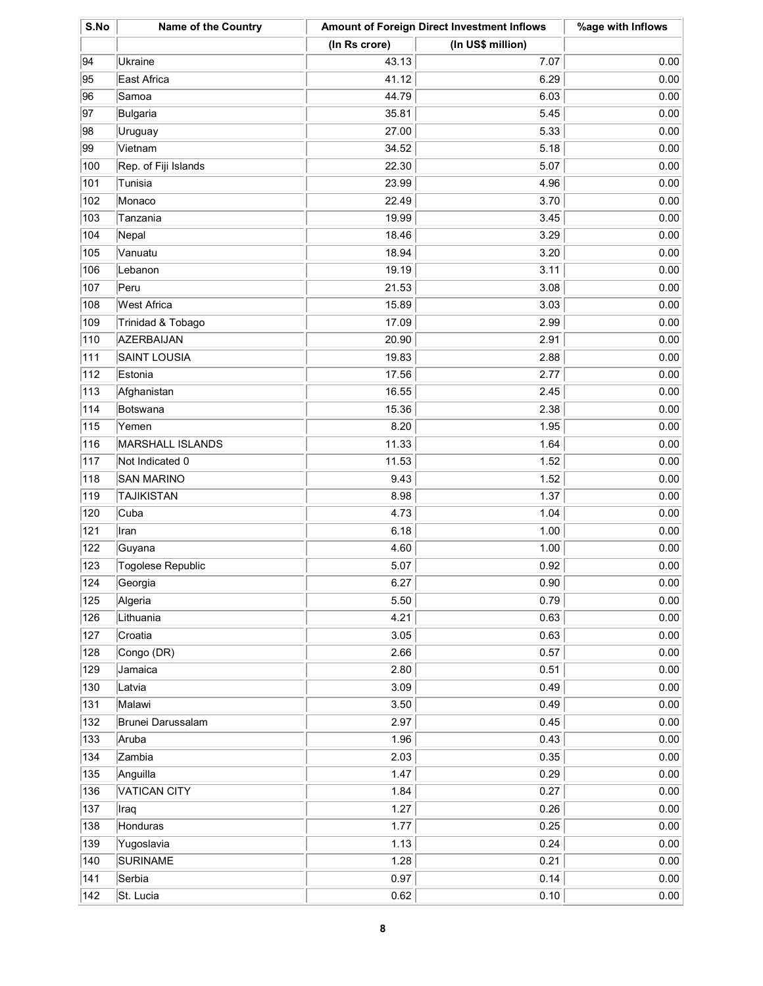| S.No | <b>Name of the Country</b> | Amount of Foreign Direct Investment Inflows |                   | %age with Inflows |
|------|----------------------------|---------------------------------------------|-------------------|-------------------|
|      |                            | (In Rs crore)                               | (In US\$ million) |                   |
| 94   | Ukraine                    | 43.13                                       | 7.07              | 0.00              |
| 95   | East Africa                | 41.12                                       | 6.29              | 0.00              |
| 96   | Samoa                      | 44.79                                       | 6.03              | 0.00              |
| 97   | Bulgaria                   | 35.81                                       | 5.45              | 0.00              |
| 98   | Uruguay                    | 27.00                                       | 5.33              | 0.00              |
| 99   | Vietnam                    | 34.52                                       | 5.18              | 0.00              |
| 100  | Rep. of Fiji Islands       | 22.30                                       | 5.07              | 0.00              |
| 101  | Tunisia                    | 23.99                                       | 4.96              | 0.00              |
| 102  | Monaco                     | 22.49                                       | 3.70              | 0.00              |
| 103  | Tanzania                   | 19.99                                       | 3.45              | 0.00              |
| 104  | Nepal                      | 18.46                                       | 3.29              | 0.00              |
| 105  | Vanuatu                    | 18.94                                       | 3.20              | 0.00              |
| 106  | Lebanon                    | 19.19                                       | 3.11              | 0.00              |
| 107  | Peru                       | 21.53                                       | 3.08              | 0.00              |
| 108  | West Africa                | 15.89                                       | 3.03              | 0.00              |
| 109  | Trinidad & Tobago          | 17.09                                       | 2.99              | 0.00              |
| 110  | AZERBAIJAN                 | 20.90                                       | 2.91              | 0.00              |
| 111  | <b>SAINT LOUSIA</b>        | 19.83                                       | 2.88              | 0.00              |
| 112  | Estonia                    | 17.56                                       | 2.77              | 0.00              |
| 113  | Afghanistan                | 16.55                                       | 2.45              | 0.00              |
| 114  | Botswana                   | 15.36                                       | 2.38              | 0.00              |
| 115  | Yemen                      | 8.20                                        | 1.95              | 0.00              |
| 116  | MARSHALL ISLANDS           | 11.33                                       | 1.64              | 0.00              |
| 117  | Not Indicated 0            | 11.53                                       | 1.52              | 0.00              |
| 118  | <b>SAN MARINO</b>          | 9.43                                        | 1.52              | 0.00              |
| 119  | TAJIKISTAN                 | 8.98                                        | 1.37              | 0.00              |
| 120  | Cuba                       | 4.73                                        | 1.04              | 0.00              |
| 121  | Iran                       | 6.18                                        | 1.00              | 0.00              |
| 122  | Guyana                     | 4.60                                        | 1.00              | 0.00              |
| 123  | Togolese Republic          | 5.07                                        | 0.92              | 0.00              |
| 124  | Georgia                    | 6.27                                        | 0.90              | 0.00              |
| 125  | Algeria                    | 5.50                                        | 0.79              | 0.00              |
| 126  | Lithuania                  | 4.21                                        | 0.63              | 0.00              |
| 127  | Croatia                    | 3.05                                        | 0.63              | 0.00              |
| 128  | Congo (DR)                 | 2.66                                        | 0.57              | 0.00              |
| 129  | Jamaica                    | 2.80                                        | 0.51              | 0.00              |
| 130  | Latvia                     | 3.09                                        | 0.49              | 0.00              |
| 131  | Malawi                     | 3.50                                        | 0.49              | 0.00              |
| 132  | Brunei Darussalam          | 2.97                                        | 0.45              | 0.00              |
| 133  | Aruba                      | 1.96                                        | 0.43              | 0.00              |
| 134  | Zambia                     | 2.03                                        | 0.35              | 0.00              |
| 135  | Anguilla                   | 1.47                                        | 0.29              | 0.00              |
| 136  | VATICAN CITY               | 1.84                                        | 0.27              | 0.00              |
| 137  | Iraq                       | 1.27                                        | 0.26              | 0.00              |
| 138  | Honduras                   | 1.77                                        | 0.25              | 0.00              |
| 139  | Yugoslavia                 | 1.13                                        | 0.24              | 0.00              |
| 140  | <b>SURINAME</b>            | 1.28                                        | 0.21              | 0.00              |
| 141  | Serbia                     | 0.97                                        | 0.14              | 0.00              |
| 142  | St. Lucia                  | 0.62                                        | 0.10              | 0.00              |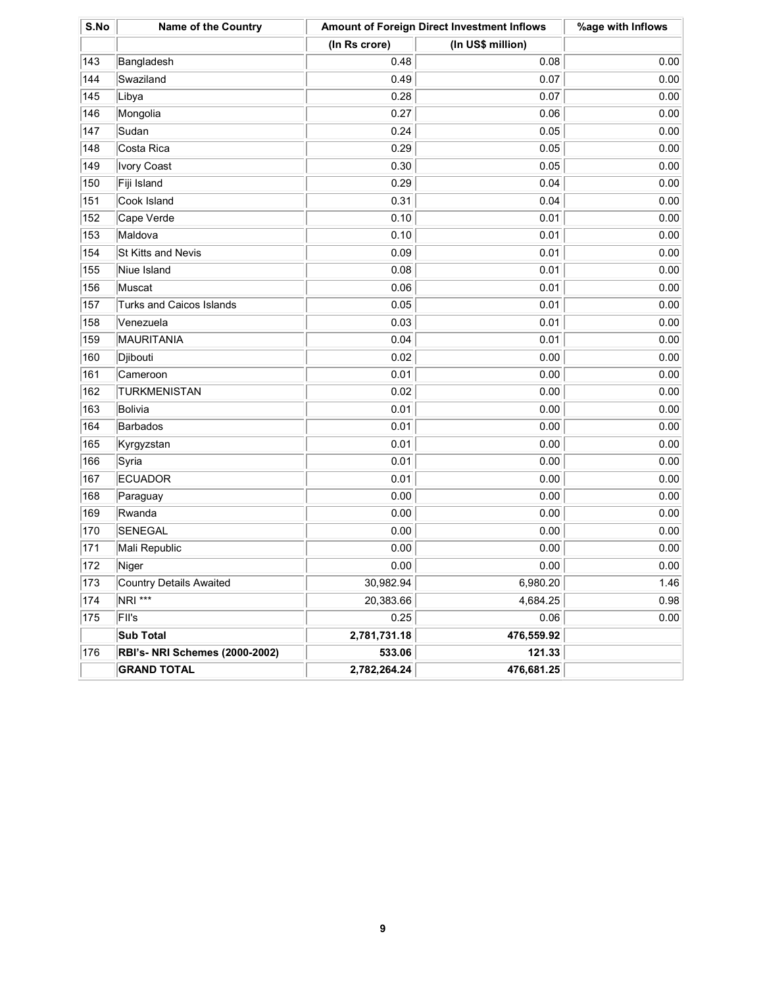| S.No | <b>Name of the Country</b>            | <b>Amount of Foreign Direct Investment Inflows</b> | %age with Inflows |      |
|------|---------------------------------------|----------------------------------------------------|-------------------|------|
|      |                                       | (In Rs crore)                                      | (In US\$ million) |      |
| 143  | Bangladesh                            | 0.48                                               | 0.08              | 0.00 |
| 144  | Swaziland                             | 0.49                                               | 0.07              | 0.00 |
| 145  | Libya                                 | 0.28                                               | 0.07              | 0.00 |
| 146  | Mongolia                              | 0.27                                               | 0.06              | 0.00 |
| 147  | Sudan                                 | 0.24                                               | 0.05              | 0.00 |
| 148  | Costa Rica                            | 0.29                                               | 0.05              | 0.00 |
| 149  | Ivory Coast                           | 0.30                                               | 0.05              | 0.00 |
| 150  | Fiji Island                           | 0.29                                               | 0.04              | 0.00 |
| 151  | Cook Island                           | 0.31                                               | 0.04              | 0.00 |
| 152  | Cape Verde                            | 0.10                                               | 0.01              | 0.00 |
| 153  | Maldova                               | 0.10                                               | 0.01              | 0.00 |
| 154  | St Kitts and Nevis                    | 0.09                                               | 0.01              | 0.00 |
| 155  | Niue Island                           | 0.08                                               | 0.01              | 0.00 |
| 156  | Muscat                                | 0.06                                               | 0.01              | 0.00 |
| 157  | <b>Turks and Caicos Islands</b>       | 0.05                                               | 0.01              | 0.00 |
| 158  | Venezuela                             | 0.03                                               | 0.01              | 0.00 |
| 159  | MAURITANIA                            | 0.04                                               | 0.01              | 0.00 |
| 160  | Djibouti                              | 0.02                                               | 0.00              | 0.00 |
| 161  | Cameroon                              | 0.01                                               | 0.00              | 0.00 |
| 162  | <b>TURKMENISTAN</b>                   | 0.02                                               | 0.00              | 0.00 |
| 163  | Bolivia                               | 0.01                                               | 0.00              | 0.00 |
| 164  | Barbados                              | 0.01                                               | 0.00              | 0.00 |
| 165  | Kyrgyzstan                            | 0.01                                               | 0.00              | 0.00 |
| 166  | Syria                                 | 0.01                                               | 0.00              | 0.00 |
| 167  | <b>ECUADOR</b>                        | 0.01                                               | 0.00              | 0.00 |
| 168  | Paraguay                              | 0.00                                               | 0.00              | 0.00 |
| 169  | Rwanda                                | 0.00                                               | 0.00              | 0.00 |
| 170  | SENEGAL                               | 0.00                                               | 0.00              | 0.00 |
| 171  | Mali Republic                         | 0.00                                               | 0.00              | 0.00 |
| 172  | Niger                                 | 0.00                                               | 0.00              | 0.00 |
| 173  | Country Details Awaited               | 30,982.94                                          | 6,980.20          | 1.46 |
| 174  | NRI ***                               | 20,383.66                                          | 4,684.25          | 0.98 |
| 175  | FII's                                 | 0.25                                               | 0.06              | 0.00 |
|      | Sub Total                             | 2,781,731.18                                       | 476,559.92        |      |
| 176  | <b>RBI's- NRI Schemes (2000-2002)</b> | 533.06                                             | 121.33            |      |
|      | <b>GRAND TOTAL</b>                    | 2,782,264.24                                       | 476,681.25        |      |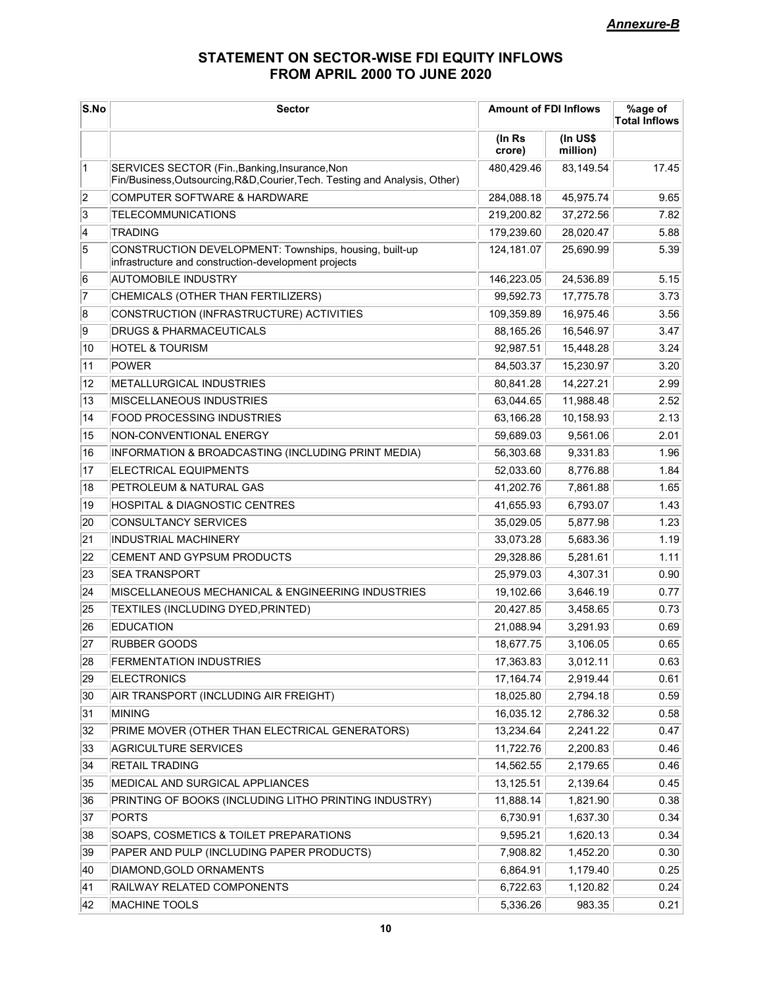# STATEMENT ON SECTOR-WISE FDI EQUITY INFLOWS FROM APRIL 2000 TO JUNE 2020

| S.No         | <b>Sector</b>                                                                                                                 | <b>Amount of FDI Inflows</b> |                      | %age of<br><b>Total Inflows</b> |
|--------------|-------------------------------------------------------------------------------------------------------------------------------|------------------------------|----------------------|---------------------------------|
|              |                                                                                                                               | (In Rs<br>crore)             | (In US\$<br>million) |                                 |
| $\mathbf{1}$ | SERVICES SECTOR (Fin., Banking, Insurance, Non<br>Fin/Business, Outsourcing, R&D, Courier, Tech. Testing and Analysis, Other) | 480,429.46                   | 83,149.54            | 17.45                           |
| 2            | COMPUTER SOFTWARE & HARDWARE                                                                                                  | 284,088.18                   | 45,975.74            | 9.65                            |
| 3            | <b>TELECOMMUNICATIONS</b>                                                                                                     | 219,200.82                   | 37,272.56            | 7.82                            |
| 4            | TRADING                                                                                                                       | 179,239.60                   | 28,020.47            | 5.88                            |
| 5            | CONSTRUCTION DEVELOPMENT: Townships, housing, built-up<br>infrastructure and construction-development projects                | 124,181.07                   | 25,690.99            | 5.39                            |
| 6            | <b>AUTOMOBILE INDUSTRY</b>                                                                                                    | 146,223.05                   | 24,536.89            | 5.15                            |
| 7            | CHEMICALS (OTHER THAN FERTILIZERS)                                                                                            | 99,592.73                    | 17,775.78            | 3.73                            |
| 8            | CONSTRUCTION (INFRASTRUCTURE) ACTIVITIES                                                                                      | 109,359.89                   | 16,975.46            | 3.56                            |
| 9            | <b>DRUGS &amp; PHARMACEUTICALS</b>                                                                                            | 88,165.26                    | 16,546.97            | 3.47                            |
| 10           | <b>HOTEL &amp; TOURISM</b>                                                                                                    | 92,987.51                    | 15,448.28            | 3.24                            |
| 11           | POWER                                                                                                                         | 84,503.37                    | 15,230.97            | 3.20                            |
| 12           | METALLURGICAL INDUSTRIES                                                                                                      | 80,841.28                    | 14,227.21            | 2.99                            |
| 13           | MISCELLANEOUS INDUSTRIES                                                                                                      | 63,044.65                    | 11,988.48            | 2.52                            |
| 14           | FOOD PROCESSING INDUSTRIES                                                                                                    | 63,166.28                    | 10,158.93            | 2.13                            |
| 15           | NON-CONVENTIONAL ENERGY                                                                                                       | 59,689.03                    | 9,561.06             | 2.01                            |
| 16           | INFORMATION & BROADCASTING (INCLUDING PRINT MEDIA)                                                                            | 56,303.68                    | 9,331.83             | 1.96                            |
| 17           | <b>ELECTRICAL EQUIPMENTS</b>                                                                                                  | 52,033.60                    | 8,776.88             | 1.84                            |
| 18           | PETROLEUM & NATURAL GAS                                                                                                       | 41,202.76                    | 7,861.88             | 1.65                            |
| 19           | <b>HOSPITAL &amp; DIAGNOSTIC CENTRES</b>                                                                                      | 41,655.93                    | 6,793.07             | 1.43                            |
| 20           | CONSULTANCY SERVICES                                                                                                          | 35,029.05                    | 5,877.98             | 1.23                            |
| 21           | <b>INDUSTRIAL MACHINERY</b>                                                                                                   | 33,073.28                    | 5,683.36             | 1.19                            |
| 22           | <b>CEMENT AND GYPSUM PRODUCTS</b>                                                                                             | 29,328.86                    | 5,281.61             | 1.11                            |
| 23           | <b>SEA TRANSPORT</b>                                                                                                          | 25,979.03                    | 4,307.31             | 0.90                            |
| 24           | MISCELLANEOUS MECHANICAL & ENGINEERING INDUSTRIES                                                                             | 19,102.66                    | 3,646.19             | 0.77                            |
| 25           | TEXTILES (INCLUDING DYED, PRINTED)                                                                                            | 20,427.85                    | 3,458.65             | 0.73                            |
| 26           | <b>EDUCATION</b>                                                                                                              | 21,088.94                    | 3,291.93             | 0.69                            |
| 27           | <b>RUBBER GOODS</b>                                                                                                           | 18,677.75                    | 3,106.05             | 0.65                            |
| 28           | <b>FERMENTATION INDUSTRIES</b>                                                                                                | 17,363.83                    | 3,012.11             | 0.63                            |
| 29           | <b>ELECTRONICS</b>                                                                                                            | 17, 164. 74                  | 2,919.44             | 0.61                            |
| 30           | AIR TRANSPORT (INCLUDING AIR FREIGHT)                                                                                         | 18,025.80                    | 2,794.18             | 0.59                            |
| 31           | MINING                                                                                                                        | 16,035.12                    | 2,786.32             | 0.58                            |
| 32           | PRIME MOVER (OTHER THAN ELECTRICAL GENERATORS)                                                                                | 13,234.64                    | 2,241.22             | 0.47                            |
| 33           | <b>AGRICULTURE SERVICES</b>                                                                                                   | 11,722.76                    | 2,200.83             | 0.46                            |
| 34           | <b>RETAIL TRADING</b>                                                                                                         | 14,562.55                    | 2,179.65             | 0.46                            |
| 35           | MEDICAL AND SURGICAL APPLIANCES                                                                                               | 13,125.51                    | 2,139.64             | 0.45                            |
| 36           | PRINTING OF BOOKS (INCLUDING LITHO PRINTING INDUSTRY)                                                                         | 11,888.14                    | 1,821.90             | 0.38                            |
| 37           | <b>PORTS</b>                                                                                                                  | 6,730.91                     | 1,637.30             | 0.34                            |
| 38           | SOAPS, COSMETICS & TOILET PREPARATIONS                                                                                        | 9,595.21                     | 1,620.13             | 0.34                            |
| 39           | PAPER AND PULP (INCLUDING PAPER PRODUCTS)                                                                                     | 7,908.82                     | 1,452.20             | 0.30                            |
| 40           | DIAMOND, GOLD ORNAMENTS                                                                                                       | 6,864.91                     | 1,179.40             | 0.25                            |
| 41           | RAILWAY RELATED COMPONENTS                                                                                                    | 6,722.63                     | 1,120.82             | 0.24                            |
| 42           | MACHINE TOOLS                                                                                                                 | 5,336.26                     | 983.35               | 0.21                            |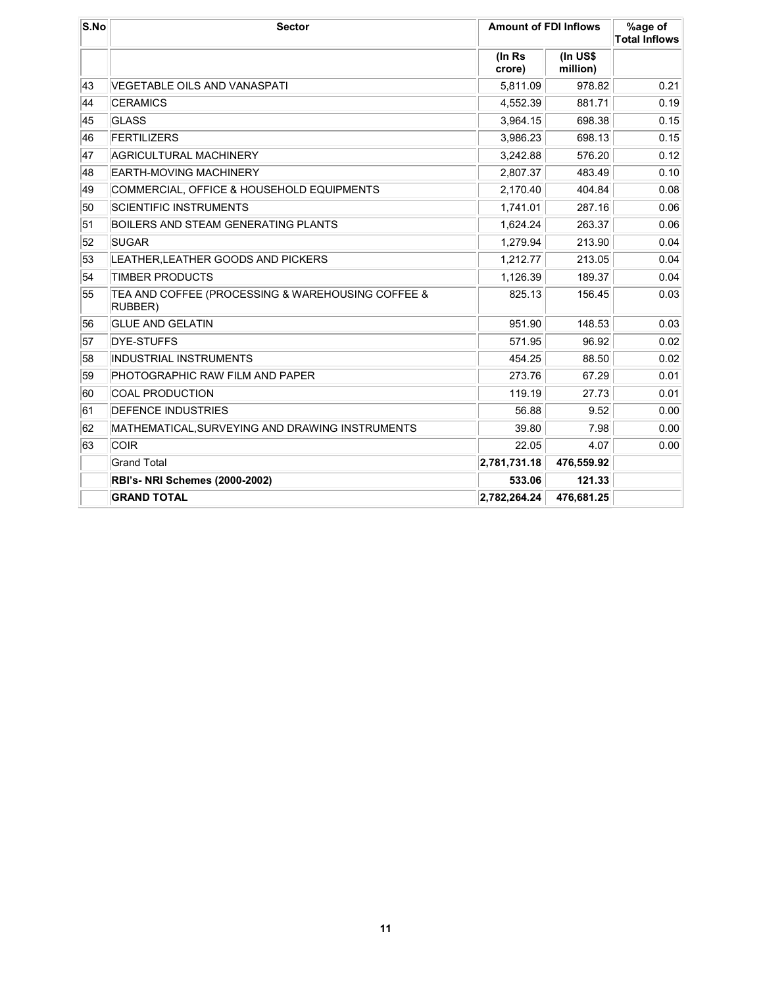| S.No | <b>Sector</b>                                                | <b>Amount of FDI Inflows</b> |                      | %age of<br><b>Total Inflows</b> |
|------|--------------------------------------------------------------|------------------------------|----------------------|---------------------------------|
|      |                                                              | (In Rs<br>crore)             | (In US\$<br>million) |                                 |
| 43   | VEGETABLE OILS AND VANASPATI                                 | 5,811.09                     | 978.82               | 0.21                            |
| 44   | <b>CERAMICS</b>                                              | 4,552.39                     | 881.71               | 0.19                            |
| 45   | GLASS                                                        | 3,964.15                     | 698.38               | 0.15                            |
| 46   | <b>FERTILIZERS</b>                                           | 3,986.23                     | 698.13               | 0.15                            |
| 47   | <b>AGRICULTURAL MACHINERY</b>                                | 3,242.88                     | 576.20               | 0.12                            |
| 48   | EARTH-MOVING MACHINERY                                       | 2,807.37                     | 483.49               | 0.10                            |
| 49   | COMMERCIAL, OFFICE & HOUSEHOLD EQUIPMENTS                    | 2,170.40                     | 404.84               | 0.08                            |
| 50   | <b>SCIENTIFIC INSTRUMENTS</b>                                | 1,741.01                     | 287.16               | 0.06                            |
| 51   | <b>BOILERS AND STEAM GENERATING PLANTS</b>                   | 1,624.24                     | 263.37               | 0.06                            |
| 52   | <b>SUGAR</b>                                                 | 1,279.94                     | 213.90               | 0.04                            |
| 53   | LEATHER, LEATHER GOODS AND PICKERS                           | 1,212.77                     | 213.05               | 0.04                            |
| 54   | <b>TIMBER PRODUCTS</b>                                       | 1,126.39                     | 189.37               | 0.04                            |
| 55   | TEA AND COFFEE (PROCESSING & WAREHOUSING COFFEE &<br>RUBBER) | 825.13                       | 156.45               | 0.03                            |
| 56   | <b>GLUE AND GELATIN</b>                                      | 951.90                       | 148.53               | 0.03                            |
| 57   | DYE-STUFFS                                                   | 571.95                       | 96.92                | 0.02                            |
| 58   | <b>INDUSTRIAL INSTRUMENTS</b>                                | 454.25                       | 88.50                | 0.02                            |
| 59   | PHOTOGRAPHIC RAW FILM AND PAPER                              | 273.76                       | 67.29                | 0.01                            |
| 60   | COAL PRODUCTION                                              | 119.19                       | 27.73                | 0.01                            |
| 61   | <b>DEFENCE INDUSTRIES</b>                                    | 56.88                        | 9.52                 | 0.00                            |
| 62   | MATHEMATICAL, SURVEYING AND DRAWING INSTRUMENTS              | 39.80                        | 7.98                 | 0.00                            |
| 63   | COIR                                                         | 22.05                        | 4.07                 | 0.00                            |
|      | <b>Grand Total</b>                                           | 2,781,731.18                 | 476,559.92           |                                 |
|      | <b>RBI's- NRI Schemes (2000-2002)</b>                        | 533.06                       | 121.33               |                                 |
|      | <b>GRAND TOTAL</b>                                           | 2,782,264.24                 | 476,681.25           |                                 |